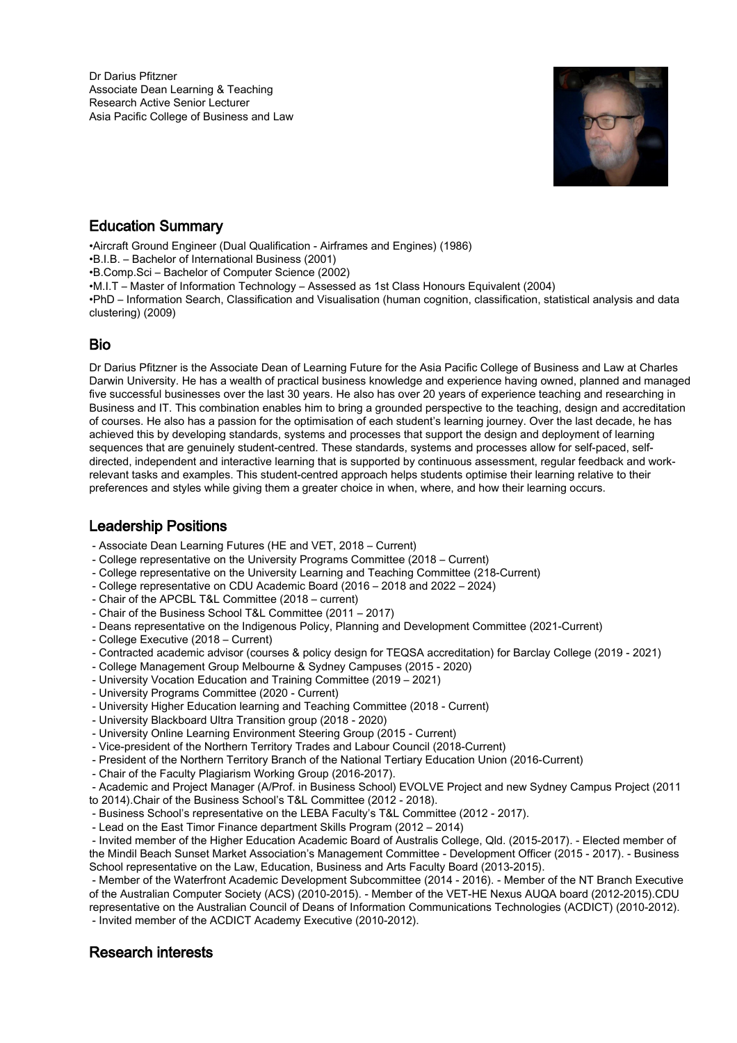Dr Darius Pfitzner Associate Dean Learning & Teaching Research Active Senior Lecturer Asia Pacific College of Business and Law



# Education Summary

•Aircraft Ground Engineer (Dual Qualification - Airframes and Engines) (1986)

•B.I.B. – Bachelor of International Business (2001)

•B.Comp.Sci – Bachelor of Computer Science (2002)

•M.I.T – Master of Information Technology – Assessed as 1st Class Honours Equivalent (2004)

•PhD – Information Search, Classification and Visualisation (human cognition, classification, statistical analysis and data clustering) (2009)

# Bio

Dr Darius Pfitzner is the Associate Dean of Learning Future for the Asia Pacific College of Business and Law at Charles Darwin University. He has a wealth of practical business knowledge and experience having owned, planned and managed five successful businesses over the last 30 years. He also has over 20 years of experience teaching and researching in Business and IT. This combination enables him to bring a grounded perspective to the teaching, design and accreditation of courses. He also has a passion for the optimisation of each student's learning journey. Over the last decade, he has achieved this by developing standards, systems and processes that support the design and deployment of learning sequences that are genuinely student-centred. These standards, systems and processes allow for self-paced, selfdirected, independent and interactive learning that is supported by continuous assessment, regular feedback and workrelevant tasks and examples. This student-centred approach helps students optimise their learning relative to their preferences and styles while giving them a greater choice in when, where, and how their learning occurs.

# Leadership Positions

- Associate Dean Learning Futures (HE and VET, 2018 Current)
- College representative on the University Programs Committee (2018 Current)
- College representative on the University Learning and Teaching Committee (218-Current)
- College representative on CDU Academic Board (2016 2018 and 2022 2024)
- Chair of the APCBL T&L Committee (2018 current)
- Chair of the Business School T&L Committee (2011 2017)
- Deans representative on the Indigenous Policy, Planning and Development Committee (2021-Current)
- College Executive (2018 Current)
- Contracted academic advisor (courses & policy design for TEQSA accreditation) for Barclay College (2019 2021)
- College Management Group Melbourne & Sydney Campuses (2015 2020)
- University Vocation Education and Training Committee (2019 2021)
- University Programs Committee (2020 Current)
- University Higher Education learning and Teaching Committee (2018 Current)
- University Blackboard Ultra Transition group (2018 2020)
- University Online Learning Environment Steering Group (2015 Current)
- Vice-president of the Northern Territory Trades and Labour Council (2018-Current)
- President of the Northern Territory Branch of the National Tertiary Education Union (2016-Current)
- Chair of the Faculty Plagiarism Working Group (2016-2017).
- Academic and Project Manager (A/Prof. in Business School) EVOLVE Project and new Sydney Campus Project (2011
- to 2014).Chair of the Business School's T&L Committee (2012 2018).
- Business School's representative on the LEBA Faculty's T&L Committee (2012 2017).
- Lead on the East Timor Finance department Skills Program (2012 2014)

 - Invited member of the Higher Education Academic Board of Australis College, Qld. (2015-2017). - Elected member of the Mindil Beach Sunset Market Association's Management Committee - Development Officer (2015 - 2017). - Business School representative on the Law, Education, Business and Arts Faculty Board (2013-2015).

 - Member of the Waterfront Academic Development Subcommittee (2014 - 2016). - Member of the NT Branch Executive of the Australian Computer Society (ACS) (2010-2015). - Member of the VET-HE Nexus AUQA board (2012-2015).CDU representative on the Australian Council of Deans of Information Communications Technologies (ACDICT) (2010-2012). - Invited member of the ACDICT Academy Executive (2010-2012).

## Research interests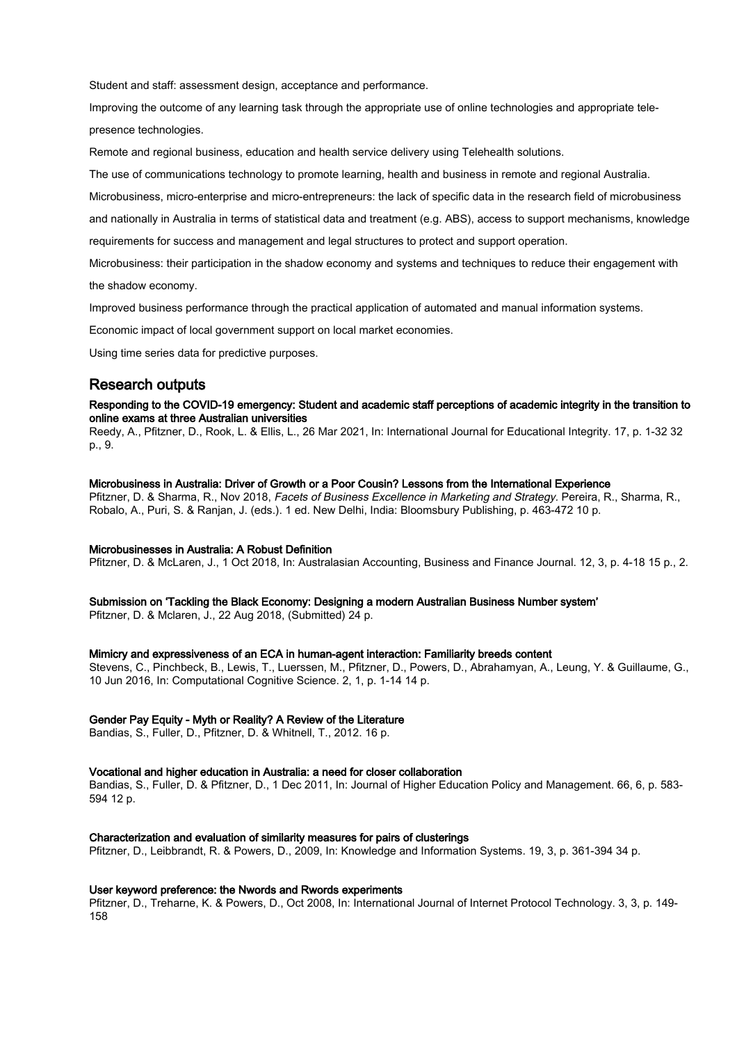Student and staff: assessment design, acceptance and performance.

Improving the outcome of any learning task through the appropriate use of online technologies and appropriate telepresence technologies.

Remote and regional business, education and health service delivery using Telehealth solutions.

The use of communications technology to promote learning, health and business in remote and regional Australia.

Microbusiness, micro-enterprise and micro-entrepreneurs: the lack of specific data in the research field of microbusiness

and nationally in Australia in terms of statistical data and treatment (e.g. ABS), access to support mechanisms, knowledge

requirements for success and management and legal structures to protect and support operation.

Microbusiness: their participation in the shadow economy and systems and techniques to reduce their engagement with the shadow economy.

Improved business performance through the practical application of automated and manual information systems.

Economic impact of local government support on local market economies.

Using time series data for predictive purposes.

# Research outputs

#### Responding to the COVID-19 emergency: Student and academic staff perceptions of academic integrity in the transition to online exams at three Australian universities

Reedy, A., Pfitzner, D., Rook, L. & Ellis, L., 26 Mar 2021, In: International Journal for Educational Integrity. 17, p. 1-32 32 p., 9.

#### Microbusiness in Australia: Driver of Growth or a Poor Cousin? Lessons from the International Experience

Pfitzner, D. & Sharma, R., Nov 2018, Facets of Business Excellence in Marketing and Strategy. Pereira, R., Sharma, R., Robalo, A., Puri, S. & Ranjan, J. (eds.). 1 ed. New Delhi, India: Bloomsbury Publishing, p. 463-472 10 p.

#### Microbusinesses in Australia: A Robust Definition

Pfitzner, D. & McLaren, J., 1 Oct 2018, In: Australasian Accounting, Business and Finance Journal. 12, 3, p. 4-18 15 p., 2.

Submission on 'Tackling the Black Economy: Designing a modern Australian Business Number system'

Pfitzner, D. & Mclaren, J., 22 Aug 2018, (Submitted) 24 p.

#### Mimicry and expressiveness of an ECA in human-agent interaction: Familiarity breeds content

Stevens, C., Pinchbeck, B., Lewis, T., Luerssen, M., Pfitzner, D., Powers, D., Abrahamyan, A., Leung, Y. & Guillaume, G., 10 Jun 2016, In: Computational Cognitive Science. 2, 1, p. 1-14 14 p.

#### Gender Pay Equity - Myth or Reality? A Review of the Literature

Bandias, S., Fuller, D., Pfitzner, D. & Whitnell, T., 2012. 16 p.

#### Vocational and higher education in Australia: a need for closer collaboration

Bandias, S., Fuller, D. & Pfitzner, D., 1 Dec 2011, In: Journal of Higher Education Policy and Management. 66, 6, p. 583- 594 12 p.

#### Characterization and evaluation of similarity measures for pairs of clusterings

Pfitzner, D., Leibbrandt, R. & Powers, D., 2009, In: Knowledge and Information Systems. 19, 3, p. 361-394 34 p.

#### User keyword preference: the Nwords and Rwords experiments

Pfitzner, D., Treharne, K. & Powers, D., Oct 2008, In: International Journal of Internet Protocol Technology. 3, 3, p. 149- 158